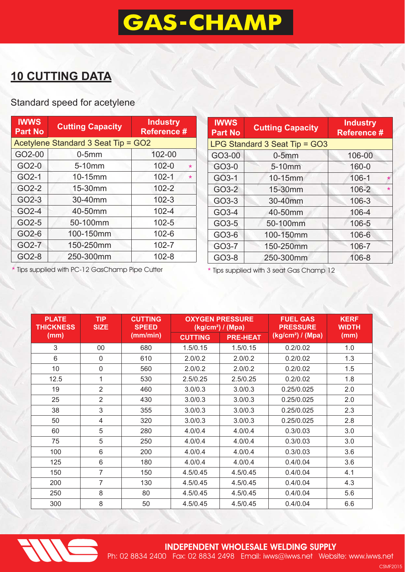# **GAS-CHAMP**

### **10 CUTTING DATA**

#### Standard speed for acetylene

| <b>IWWS</b><br><b>Part No</b>       | <b>Cutting Capacity</b> | <b>Industry</b><br>Reference # |  |  |
|-------------------------------------|-------------------------|--------------------------------|--|--|
| Acetylene Standard 3 Seat Tip = GO2 |                         |                                |  |  |
| GO2-00                              | $0-5mm$                 | 102-00                         |  |  |
| GO2-0                               | 5-10mm                  | $102 - 0$<br>$\star$           |  |  |
| GO2-1                               | 10-15mm                 | $102 - 1$<br>$\star$           |  |  |
| GO2-2                               | 15-30mm                 | $102 - 2$                      |  |  |
| GO2-3                               | 30-40mm                 | $102 - 3$                      |  |  |
| GO2-4                               | 40-50mm                 | $102 - 4$                      |  |  |
| GO2-5                               | 50-100mm                | $102 - 5$                      |  |  |
| GO2-6                               | 100-150mm               | 102-6                          |  |  |
| GO2-7                               | 150-250mm               | $102 - 7$                      |  |  |
| GO2-8                               | 250-300mm               | $102 - 8$                      |  |  |

| <b>IWWS</b><br><b>Part No</b> | <b>Cutting Capacity</b> | <b>Industry</b><br><b>Reference #</b> |  |  |
|-------------------------------|-------------------------|---------------------------------------|--|--|
| LPG Standard 3 Seat Tip = GO3 |                         |                                       |  |  |
| GO3-00                        | $0-5mm$                 | 106-00                                |  |  |
| GO3-0                         | 5-10mm                  | 160-0                                 |  |  |
| GO3-1                         | 10-15mm                 | $106 - 1$<br>$\star$                  |  |  |
| GO3-2                         | 15-30mm                 | 106-2<br>$\star$                      |  |  |
| GO3-3                         | 30-40mm                 | $106 - 3$                             |  |  |
| GO3-4                         | 40-50mm                 | 106-4                                 |  |  |
| GO3-5                         | 50-100mm                | 106-5                                 |  |  |
| GO3-6                         | 100-150mm               | 106-6                                 |  |  |
| GO3-7                         | 150-250mm               | 106-7                                 |  |  |
| GO3-8                         | 250-300mm               | 106-8                                 |  |  |

\* Tips supplied with PC-12 GasChamp Pipe Cutter

\* Tips supplied with 3 seat Gas Champ 12

| <b>TIP</b><br><b>PLATE</b><br><b>THICKNESS</b><br><b>SIZE</b> |                | <b>CUTTING</b><br><b>OXYGEN PRESSURE</b><br><b>SPEED</b><br>$(kg/cm2)$ / (Mpa) |                |                 | <b>FUEL GAS</b><br><b>PRESSURE</b> | <b>KERF</b><br><b>WIDTH</b> |
|---------------------------------------------------------------|----------------|--------------------------------------------------------------------------------|----------------|-----------------|------------------------------------|-----------------------------|
| (mm)                                                          |                | (mm/min)                                                                       | <b>CUTTING</b> | <b>PRE-HEAT</b> | $(kg/cm2)$ / (Mpa)                 | (mm)                        |
| 3                                                             | 00             | 680                                                                            | 1.5/0.15       | 1.5/0.15        | 0.2/0.02                           | 1.0                         |
| 6                                                             | $\mathbf 0$    | 610                                                                            | 2.0/0.2        | 2.0/0.2         | 0.2/0.02                           | 1.3                         |
| 10 <sup>°</sup>                                               | $\mathbf 0$    | 560                                                                            | 2.0/0.2        | 2.0/0.2         | 0.2/0.02                           | 1.5                         |
| 12.5                                                          | 1              | 530                                                                            | 2.5/0.25       | 2.5/0.25        | 0.2/0.02                           | 1.8                         |
| 19                                                            | $\overline{2}$ | 460                                                                            | 3.0/0.3        | 3.0/0.3         | 0.25/0.025                         | 2.0                         |
| 25                                                            | $\overline{2}$ | 430                                                                            | 3.0/0.3        | 3.0/0.3         | 0.25/0.025                         | 2.0                         |
| 38                                                            | 3              | 355                                                                            | 3.0/0.3        | 3.0/0.3         | 0.25/0.025                         | 2.3                         |
| 50                                                            | 4              | 320                                                                            | 3.0/0.3        | 3.0/0.3         | 0.25/0.025                         | 2.8                         |
| 60                                                            | 5              | 280                                                                            | 4.0/0.4        | 4.0/0.4         | 0.3/0.03                           | 3.0                         |
| 75                                                            | 5              | 250                                                                            | 4.0/0.4        | 4.0/0.4         | 0.3/0.03                           | 3.0                         |
| 100                                                           | 6              | 200                                                                            | 4.0/0.4        | 4.0/0.4         | 0.3/0.03                           | 3.6                         |
| 125                                                           | 6              | 180                                                                            | 4.0/0.4        | 4.0/0.4         | 0.4/0.04                           | 3.6                         |
| 150                                                           | $\overline{7}$ | 150                                                                            | 4.5/0.45       | 4.5/0.45        | 0.4/0.04                           | 4.1                         |
| 200                                                           | $\overline{7}$ | 130                                                                            | 4.5/0.45       | 4.5/0.45        | 0.4/0.04                           | 4.3                         |
| 250                                                           | 8              | 80                                                                             | 4.5/0.45       | 4.5/0.45        | 0.4/0.04                           | 5.6                         |
| 300                                                           | 8              | 50                                                                             | 4.5/0.45       | 4.5/0.45        | 0.4/0.04                           | 6.6                         |



CSMF2015